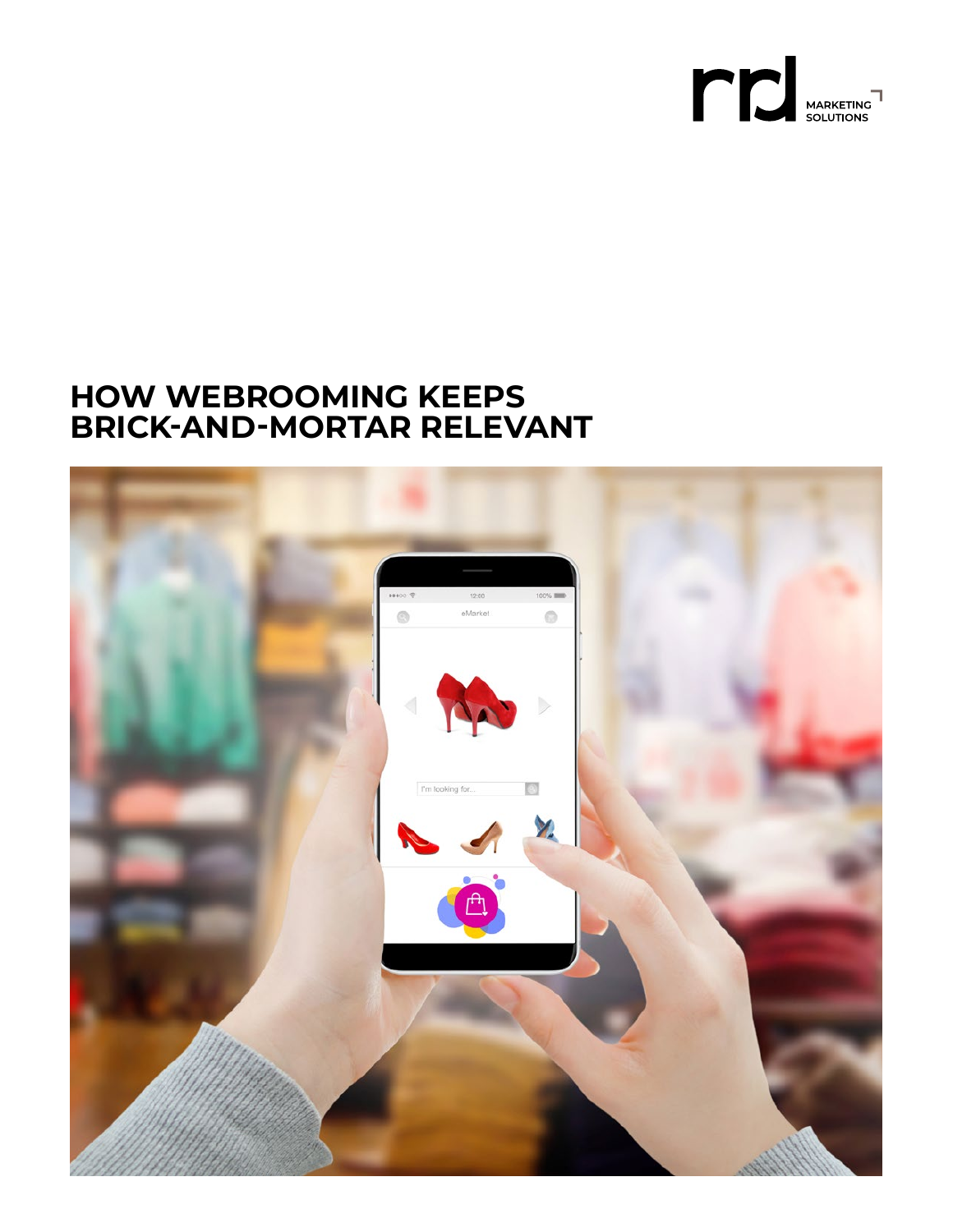

### **HOW WEBROOMING KEEPS BRICK‑AND‑MORTAR RELEVANT**

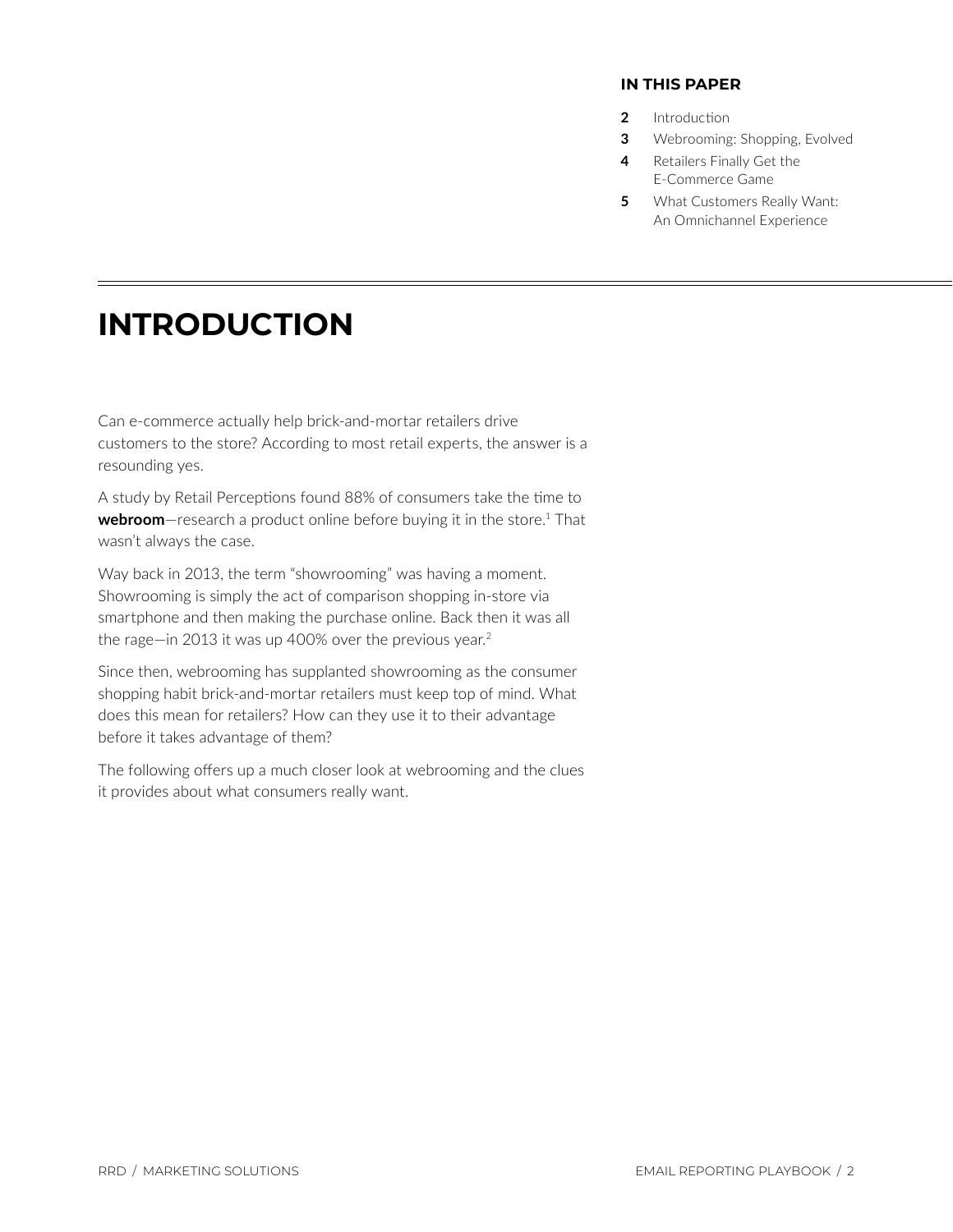#### **IN THIS PAPER**

- **2** Introduction
- **3** [Webrooming: Shopping, Evolved](#page-2-0)
- **4** [Retailers Finally Get the](#page-3-0) E-Commerce Game
- **5** What Customers Really Want: An Omnichannel Experience

# **INTRODUCTION**

Can e-commerce actually help brick-and-mortar retailers drive customers to the store? According to most retail experts, the answer is a resounding yes.

A study by Retail Perceptions found 88% of consumers take the time to webroom-research a product online before buying it in the store.<sup>[1](#page-5-0)</sup> That wasn't always the case.

Way back in 2013, the term "showrooming" was having a moment. Showrooming is simply the act of comparison shopping in-store via smartphone and then making the purchase online. Back then it was all the rage-in [2](#page-5-0)013 it was up 400% over the previous year.<sup>2</sup>

Since then, webrooming has supplanted showrooming as the consumer shopping habit brick-and-mortar retailers must keep top of mind. What does this mean for retailers? How can they use it to their advantage before it takes advantage of them?

The following offers up a much closer look at webrooming and the clues it provides about what consumers really want.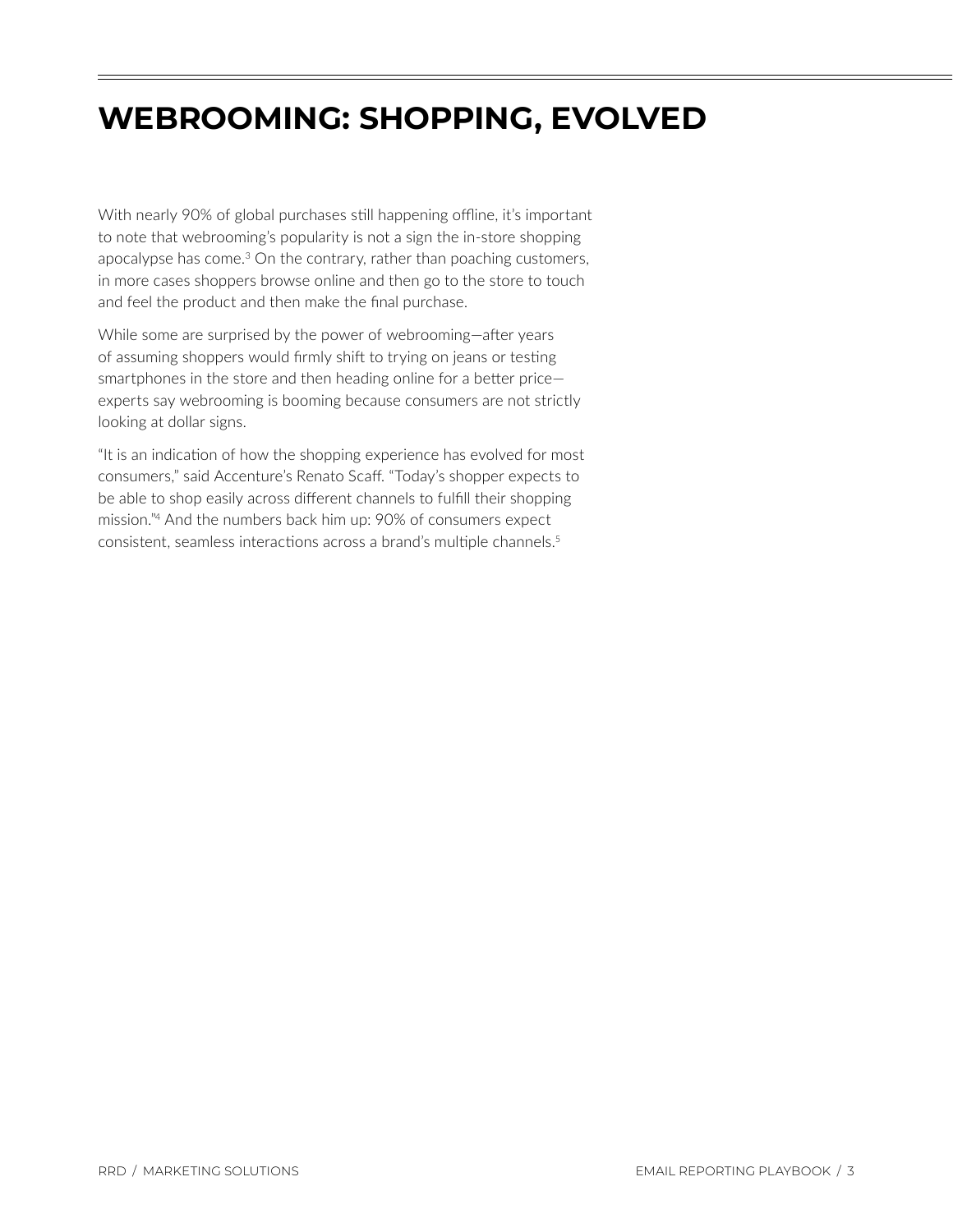## <span id="page-2-0"></span>**WEBROOMING: SHOPPING, EVOLVED**

With nearly 90% of global purchases still happening offline, it's important to note that webrooming's popularity is not a sign the in-store shopping apocalypse has come.<sup>[3](#page-5-0)</sup> On the contrary, rather than poaching customers, in more cases shoppers browse online and then go to the store to touch and feel the product and then make the final purchase.

While some are surprised by the power of webrooming—after years of assuming shoppers would firmly shift to trying on jeans or testing smartphones in the store and then heading online for a better price experts say webrooming is booming because consumers are not strictly looking at dollar signs.

"It is an indication of how the shopping experience has evolved for most consumers," said Accenture's Renato Scaff. "Today's shopper expects to be able to shop easily across different channels to fulfill their shopping mission.["4](#page-5-0) And the numbers back him up: 90% of consumers expect consistent, seamless interactions across a brand's multiple channels.<sup>[5](#page-5-0)</sup>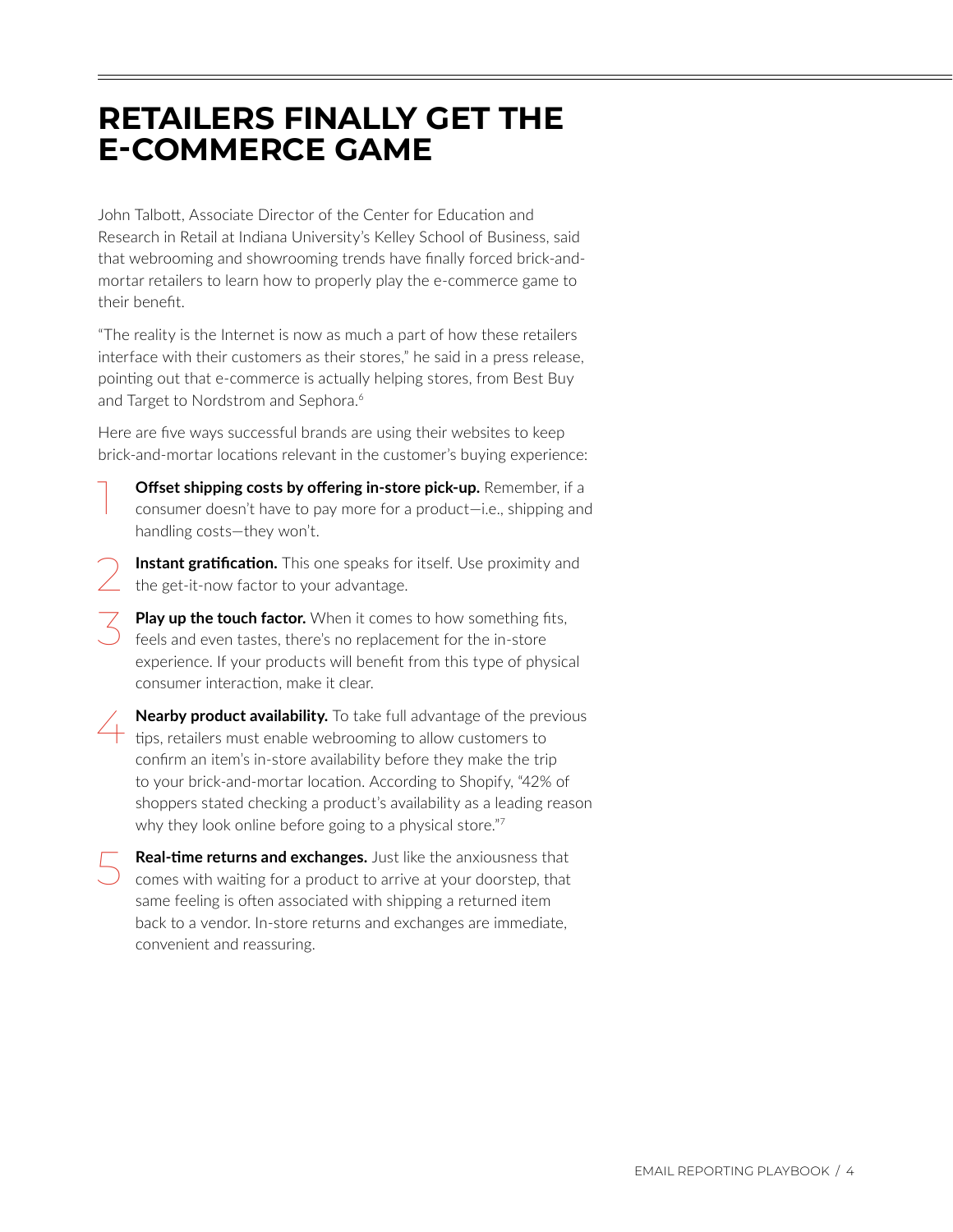### <span id="page-3-0"></span>**RETAILERS FINALLY GET THE E‑COMMERCE GAME**

John Talbott, Associate Director of the Center for Education and Research in Retail at Indiana University's Kelley School of Business, said that webrooming and showrooming trends have finally forced brick-andmortar retailers to learn how to properly play the e-commerce game to their benefit.

"The reality is the Internet is now as much a part of how these retailers interface with their customers as their stores," he said in a press release, pointing out that e-commerce is actually helping stores, from Best Buy and Target to Nordstrom and Sephora.<sup>6</sup>

Here are five ways successful brands are using their websites to keep brick-and-mortar locations relevant in the customer's buying experience:

- **Offset shipping costs by offering in-store pick-up.** Remember, if a consumer doesn't have to pay more for a product—i.e., shipping and handling costs—they won't.
- **Instant gratification.** This one speaks for itself. Use proximity and the get-it-now factor to your advantage.
- **Play up the touch factor.** When it comes to how something fits, feels and even tastes, there's no replacement for the in-store experience. If your products will benefit from this type of physical consumer interaction, make it clear.
- **Nearby product availability.** To take full advantage of the previous tips, retailers must enable webrooming to allow customers to confirm an item's in-store availability before they make the trip to your brick-and-mortar location. According to Shopify, "42% of shoppers stated checking a product's availability as a leading reason why they look online before going to a physical store."[7](#page-5-0)
- **Real-time returns and exchanges.** Just like the anxiousness that comes with waiting for a product to arrive at your doorstep, that same feeling is often associated with shipping a returned item back to a vendor. In-store returns and exchanges are immediate, convenient and reassuring.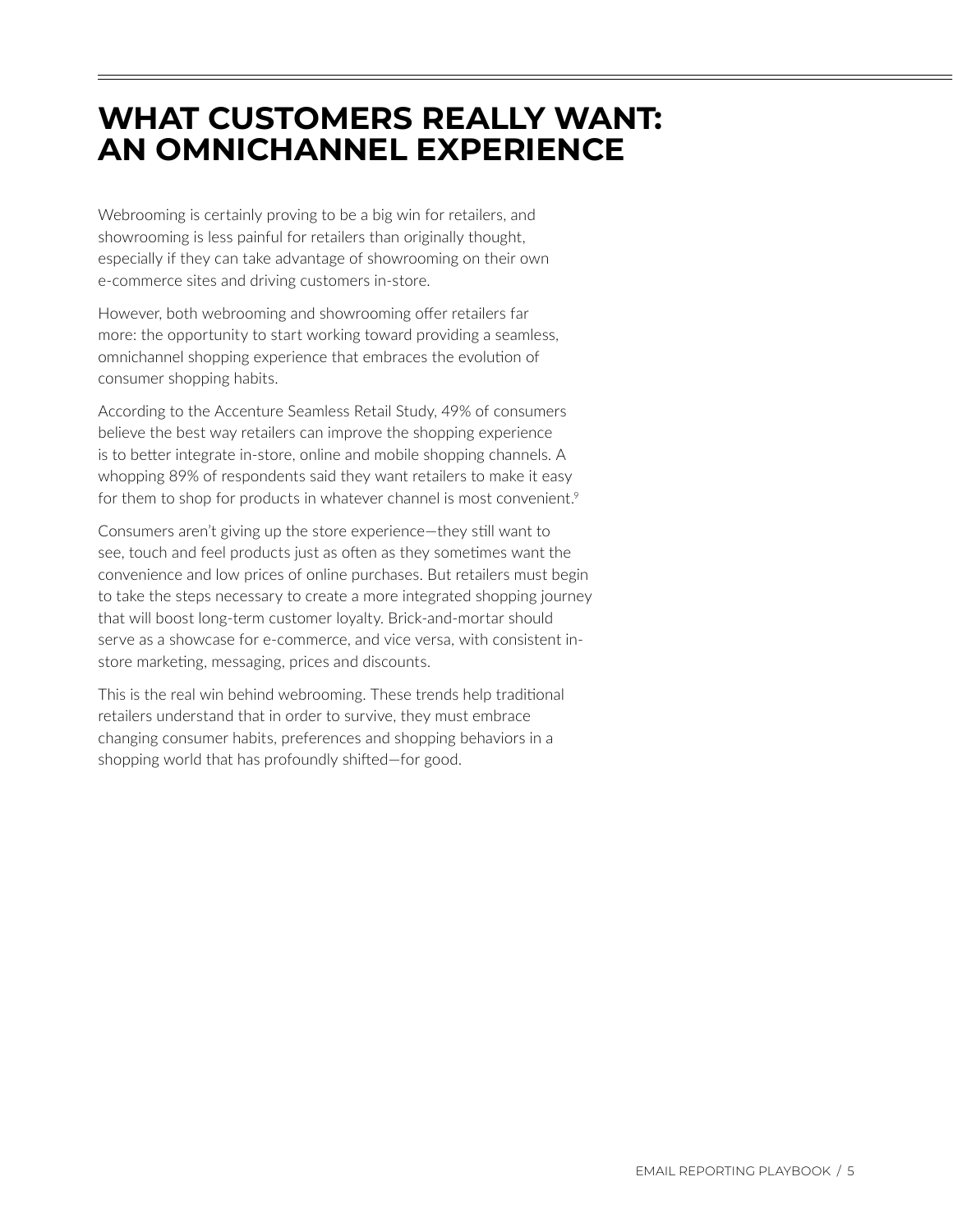## <span id="page-4-0"></span>**WHAT CUSTOMERS REALLY WANT: AN OMNICHANNEL EXPERIENCE**

Webrooming is certainly proving to be a big win for retailers, and showrooming is less painful for retailers than originally thought, especially if they can take advantage of showrooming on their own e-commerce sites and driving customers in-store.

However, both webrooming and showrooming offer retailers far more: the opportunity to start working toward providing a seamless, omnichannel shopping experience that embraces the evolution of consumer shopping habits.

According to the Accenture Seamless Retail Study, 49% of consumers believe the best way retailers can improve the shopping experience is to better integrate in-store, online and mobile shopping channels. A whopping 89% of respondents said they want retailers to make it easy for them to shop for products in whatever channel is most convenient.<sup>[9](#page-5-0)</sup>

Consumers aren't giving up the store experience—they still want to see, touch and feel products just as often as they sometimes want the convenience and low prices of online purchases. But retailers must begin to take the steps necessary to create a more integrated shopping journey that will boost long-term customer loyalty. Brick-and-mortar should serve as a showcase for e-commerce, and vice versa, with consistent instore marketing, messaging, prices and discounts.

This is the real win behind webrooming. These trends help traditional retailers understand that in order to survive, they must embrace changing consumer habits, preferences and shopping behaviors in a shopping world that has profoundly shifted—for good.